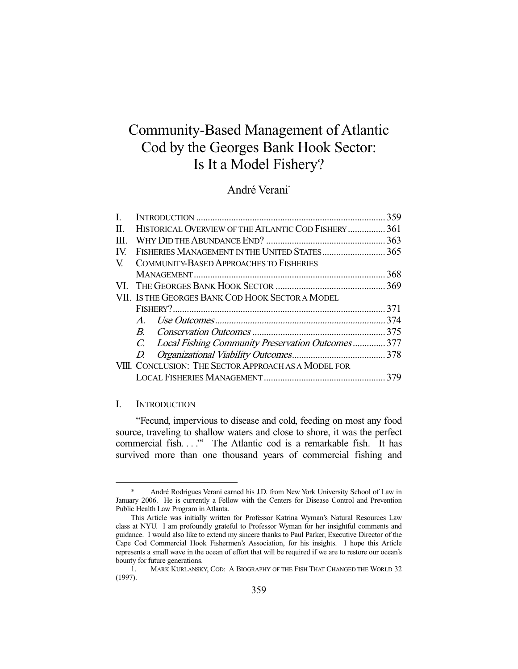# Community-Based Management of Atlantic Cod by the Georges Bank Hook Sector: Is It a Model Fishery?

## André Verani\*

| L    |                                                      |                                                      | 359  |  |
|------|------------------------------------------------------|------------------------------------------------------|------|--|
| II.  | HISTORICAL OVERVIEW OF THE ATLANTIC COD FISHERY  361 |                                                      |      |  |
| III. |                                                      |                                                      |      |  |
| IV.  | FISHERIES MANAGEMENT IN THE UNITED STATES 365        |                                                      |      |  |
| V.   |                                                      | <b>COMMUNITY-BASED APPROACHES TO FISHERIES</b>       |      |  |
|      |                                                      |                                                      |      |  |
|      |                                                      |                                                      |      |  |
|      | VII. IS THE GEORGES BANK COD HOOK SECTOR A MODEL     |                                                      |      |  |
|      |                                                      |                                                      |      |  |
|      |                                                      |                                                      | .374 |  |
|      |                                                      |                                                      |      |  |
|      |                                                      | C. Local Fishing Community Preservation Outcomes 377 |      |  |
|      | D.                                                   |                                                      |      |  |
|      | VIII. CONCLUSION: THE SECTOR APPROACH AS A MODEL FOR |                                                      |      |  |
|      |                                                      |                                                      |      |  |
|      |                                                      |                                                      |      |  |

## I. INTRODUCTION

-

 "Fecund, impervious to disease and cold, feeding on most any food source, traveling to shallow waters and close to shore, it was the perfect commercial fish...." The Atlantic cod is a remarkable fish. It has survived more than one thousand years of commercial fishing and

 <sup>\*</sup> André Rodrigues Verani earned his J.D. from New York University School of Law in January 2006. He is currently a Fellow with the Centers for Disease Control and Prevention Public Health Law Program in Atlanta.

This Article was initially written for Professor Katrina Wyman's Natural Resources Law class at NYU. I am profoundly grateful to Professor Wyman for her insightful comments and guidance. I would also like to extend my sincere thanks to Paul Parker, Executive Director of the Cape Cod Commercial Hook Fishermen's Association, for his insights. I hope this Article represents a small wave in the ocean of effort that will be required if we are to restore our ocean's bounty for future generations.

 <sup>1.</sup> MARK KURLANSKY, COD: A BIOGRAPHY OF THE FISH THAT CHANGED THE WORLD 32 (1997).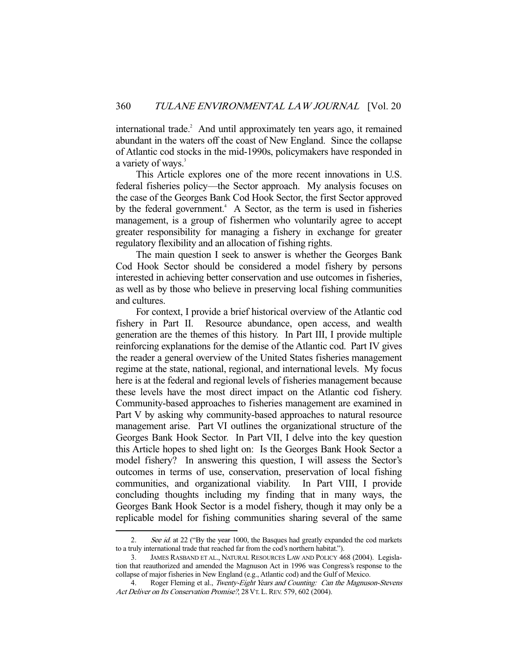international trade.<sup>2</sup> And until approximately ten years ago, it remained abundant in the waters off the coast of New England. Since the collapse of Atlantic cod stocks in the mid-1990s, policymakers have responded in a variety of ways.<sup>3</sup>

 This Article explores one of the more recent innovations in U.S. federal fisheries policy—the Sector approach. My analysis focuses on the case of the Georges Bank Cod Hook Sector, the first Sector approved by the federal government.<sup>4</sup> A Sector, as the term is used in fisheries management, is a group of fishermen who voluntarily agree to accept greater responsibility for managing a fishery in exchange for greater regulatory flexibility and an allocation of fishing rights.

 The main question I seek to answer is whether the Georges Bank Cod Hook Sector should be considered a model fishery by persons interested in achieving better conservation and use outcomes in fisheries, as well as by those who believe in preserving local fishing communities and cultures.

 For context, I provide a brief historical overview of the Atlantic cod fishery in Part II. Resource abundance, open access, and wealth generation are the themes of this history. In Part III, I provide multiple reinforcing explanations for the demise of the Atlantic cod. Part IV gives the reader a general overview of the United States fisheries management regime at the state, national, regional, and international levels. My focus here is at the federal and regional levels of fisheries management because these levels have the most direct impact on the Atlantic cod fishery. Community-based approaches to fisheries management are examined in Part V by asking why community-based approaches to natural resource management arise. Part VI outlines the organizational structure of the Georges Bank Hook Sector. In Part VII, I delve into the key question this Article hopes to shed light on: Is the Georges Bank Hook Sector a model fishery? In answering this question, I will assess the Sector's outcomes in terms of use, conservation, preservation of local fishing communities, and organizational viability. In Part VIII, I provide concluding thoughts including my finding that in many ways, the Georges Bank Hook Sector is a model fishery, though it may only be a replicable model for fishing communities sharing several of the same

<sup>2.</sup> See id. at 22 ("By the year 1000, the Basques had greatly expanded the cod markets to a truly international trade that reached far from the cod's northern habitat.").

 <sup>3.</sup> JAMES RASBAND ET AL., NATURAL RESOURCES LAW AND POLICY 468 (2004). Legislation that reauthorized and amended the Magnuson Act in 1996 was Congress's response to the collapse of major fisheries in New England (e.g., Atlantic cod) and the Gulf of Mexico.

 <sup>4.</sup> Roger Fleming et al., Twenty-Eight Years and Counting: Can the Magnuson-Stevens Act Deliver on Its Conservation Promise?, 28 VT. L. REV. 579, 602 (2004).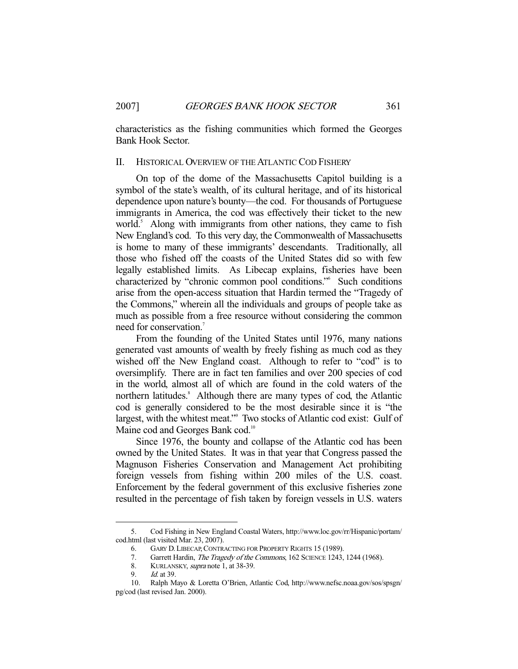characteristics as the fishing communities which formed the Georges Bank Hook Sector.

## II. HISTORICAL OVERVIEW OF THE ATLANTIC COD FISHERY

 On top of the dome of the Massachusetts Capitol building is a symbol of the state's wealth, of its cultural heritage, and of its historical dependence upon nature's bounty—the cod. For thousands of Portuguese immigrants in America, the cod was effectively their ticket to the new world.<sup>5</sup> Along with immigrants from other nations, they came to fish New England's cod. To this very day, the Commonwealth of Massachusetts is home to many of these immigrants' descendants. Traditionally, all those who fished off the coasts of the United States did so with few legally established limits. As Libecap explains, fisheries have been characterized by "chronic common pool conditions."6 Such conditions arise from the open-access situation that Hardin termed the "Tragedy of the Commons," wherein all the individuals and groups of people take as much as possible from a free resource without considering the common need for conservation.<sup>7</sup>

 From the founding of the United States until 1976, many nations generated vast amounts of wealth by freely fishing as much cod as they wished off the New England coast. Although to refer to "cod" is to oversimplify. There are in fact ten families and over 200 species of cod in the world, almost all of which are found in the cold waters of the northern latitudes.<sup>8</sup> Although there are many types of cod, the Atlantic cod is generally considered to be the most desirable since it is "the largest, with the whitest meat." Two stocks of Atlantic cod exist: Gulf of Maine cod and Georges Bank cod.<sup>10</sup>

 Since 1976, the bounty and collapse of the Atlantic cod has been owned by the United States. It was in that year that Congress passed the Magnuson Fisheries Conservation and Management Act prohibiting foreign vessels from fishing within 200 miles of the U.S. coast. Enforcement by the federal government of this exclusive fisheries zone resulted in the percentage of fish taken by foreign vessels in U.S. waters

 <sup>5.</sup> Cod Fishing in New England Coastal Waters, http://www.loc.gov/rr/Hispanic/portam/ cod.html (last visited Mar. 23, 2007).

 <sup>6.</sup> GARY D. LIBECAP,CONTRACTING FOR PROPERTY RIGHTS 15 (1989).

<sup>7.</sup> Garrett Hardin, The Tragedy of the Commons, 162 SCIENCE 1243, 1244 (1968).

<sup>8.</sup> KURLANSKY, *supra* note 1, at 38-39.

 <sup>9.</sup> Id. at 39.

 <sup>10.</sup> Ralph Mayo & Loretta O'Brien, Atlantic Cod, http://www.nefsc.noaa.gov/sos/spsgn/ pg/cod (last revised Jan. 2000).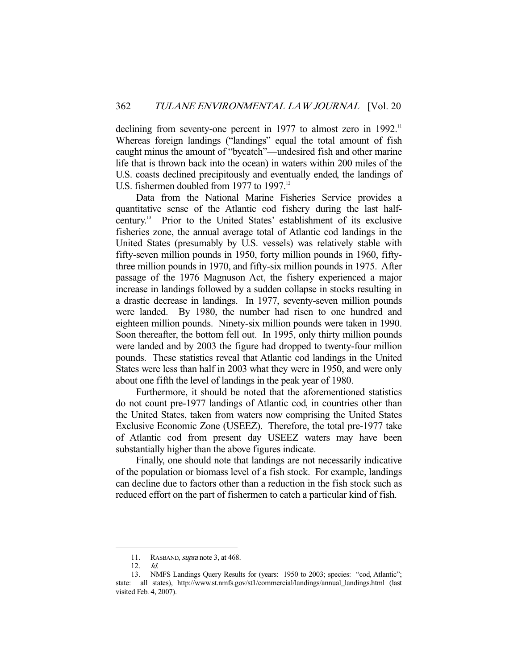declining from seventy-one percent in 1977 to almost zero in 1992.<sup>11</sup> Whereas foreign landings ("landings" equal the total amount of fish caught minus the amount of "bycatch"—undesired fish and other marine life that is thrown back into the ocean) in waters within 200 miles of the U.S. coasts declined precipitously and eventually ended, the landings of U.S. fishermen doubled from 1977 to 1997.<sup>12</sup>

 Data from the National Marine Fisheries Service provides a quantitative sense of the Atlantic cod fishery during the last halfcentury.13 Prior to the United States' establishment of its exclusive fisheries zone, the annual average total of Atlantic cod landings in the United States (presumably by U.S. vessels) was relatively stable with fifty-seven million pounds in 1950, forty million pounds in 1960, fiftythree million pounds in 1970, and fifty-six million pounds in 1975. After passage of the 1976 Magnuson Act, the fishery experienced a major increase in landings followed by a sudden collapse in stocks resulting in a drastic decrease in landings. In 1977, seventy-seven million pounds were landed. By 1980, the number had risen to one hundred and eighteen million pounds. Ninety-six million pounds were taken in 1990. Soon thereafter, the bottom fell out. In 1995, only thirty million pounds were landed and by 2003 the figure had dropped to twenty-four million pounds. These statistics reveal that Atlantic cod landings in the United States were less than half in 2003 what they were in 1950, and were only about one fifth the level of landings in the peak year of 1980.

 Furthermore, it should be noted that the aforementioned statistics do not count pre-1977 landings of Atlantic cod, in countries other than the United States, taken from waters now comprising the United States Exclusive Economic Zone (USEEZ). Therefore, the total pre-1977 take of Atlantic cod from present day USEEZ waters may have been substantially higher than the above figures indicate.

 Finally, one should note that landings are not necessarily indicative of the population or biomass level of a fish stock. For example, landings can decline due to factors other than a reduction in the fish stock such as reduced effort on the part of fishermen to catch a particular kind of fish.

<sup>11.</sup> RASBAND, *supra* note 3, at 468.

 <sup>12.</sup> Id.

 <sup>13.</sup> NMFS Landings Query Results for (years: 1950 to 2003; species: "cod, Atlantic"; state: all states), http://www.st.nmfs.gov/st1/commercial/landings/annual\_landings.html (last visited Feb. 4, 2007).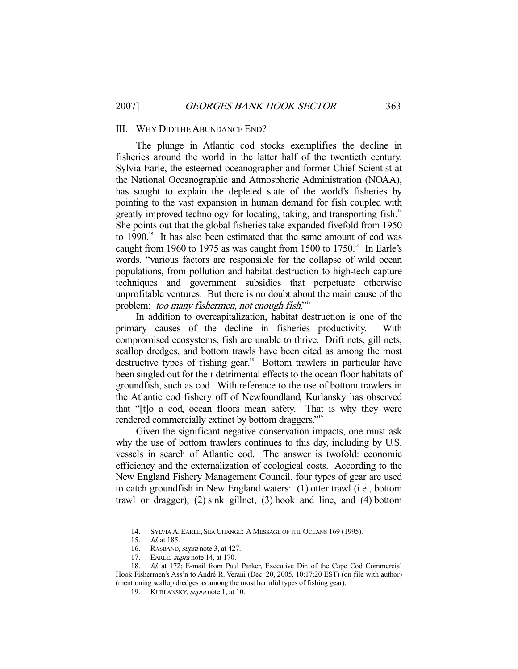#### III. WHY DID THE ABUNDANCE END?

 The plunge in Atlantic cod stocks exemplifies the decline in fisheries around the world in the latter half of the twentieth century. Sylvia Earle, the esteemed oceanographer and former Chief Scientist at the National Oceanographic and Atmospheric Administration (NOAA), has sought to explain the depleted state of the world's fisheries by pointing to the vast expansion in human demand for fish coupled with greatly improved technology for locating, taking, and transporting fish.<sup>14</sup> She points out that the global fisheries take expanded fivefold from 1950 to 1990.<sup>15</sup> It has also been estimated that the same amount of cod was caught from 1960 to 1975 as was caught from 1500 to 1750.<sup>16</sup> In Earle's words, "various factors are responsible for the collapse of wild ocean populations, from pollution and habitat destruction to high-tech capture techniques and government subsidies that perpetuate otherwise unprofitable ventures. But there is no doubt about the main cause of the problem: *too many fishermen, not enough fish*."<sup>17</sup>

 In addition to overcapitalization, habitat destruction is one of the primary causes of the decline in fisheries productivity. With compromised ecosystems, fish are unable to thrive. Drift nets, gill nets, scallop dredges, and bottom trawls have been cited as among the most destructive types of fishing gear.<sup>18</sup> Bottom trawlers in particular have been singled out for their detrimental effects to the ocean floor habitats of groundfish, such as cod. With reference to the use of bottom trawlers in the Atlantic cod fishery off of Newfoundland, Kurlansky has observed that "[t]o a cod, ocean floors mean safety. That is why they were rendered commercially extinct by bottom draggers."<sup>19</sup>

 Given the significant negative conservation impacts, one must ask why the use of bottom trawlers continues to this day, including by U.S. vessels in search of Atlantic cod. The answer is twofold: economic efficiency and the externalization of ecological costs. According to the New England Fishery Management Council, four types of gear are used to catch groundfish in New England waters: (1) otter trawl (i.e., bottom trawl or dragger), (2) sink gillnet, (3) hook and line, and (4) bottom

<sup>14.</sup> SYLVIA A. EARLE, SEA CHANGE: A MESSAGE OF THE OCEANS 169 (1995).<br>15. Id. at 185.

*Id.* at 185.

<sup>16.</sup> RASBAND, *supra* note 3, at 427.<br>17. EARLE, *supra* note 14, at 170.

EARLE, *supra* note 14, at 170.

 <sup>18.</sup> Id. at 172; E-mail from Paul Parker, Executive Dir. of the Cape Cod Commercial Hook Fishermen's Ass'n to André R. Verani (Dec. 20, 2005, 10:17:20 EST) (on file with author) (mentioning scallop dredges as among the most harmful types of fishing gear).

 <sup>19.</sup> KURLANSKY, supra note 1, at 10.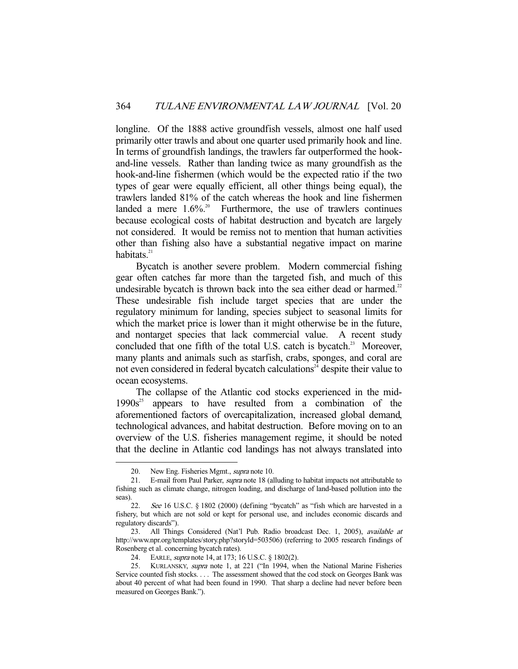longline. Of the 1888 active groundfish vessels, almost one half used primarily otter trawls and about one quarter used primarily hook and line. In terms of groundfish landings, the trawlers far outperformed the hookand-line vessels. Rather than landing twice as many groundfish as the hook-and-line fishermen (which would be the expected ratio if the two types of gear were equally efficient, all other things being equal), the trawlers landed 81% of the catch whereas the hook and line fishermen landed a mere  $1.6\%$ .<sup>20</sup> Furthermore, the use of trawlers continues because ecological costs of habitat destruction and bycatch are largely not considered. It would be remiss not to mention that human activities other than fishing also have a substantial negative impact on marine habitats. $21$ 

 Bycatch is another severe problem. Modern commercial fishing gear often catches far more than the targeted fish, and much of this undesirable bycatch is thrown back into the sea either dead or harmed.<sup>22</sup> These undesirable fish include target species that are under the regulatory minimum for landing, species subject to seasonal limits for which the market price is lower than it might otherwise be in the future, and nontarget species that lack commercial value. A recent study concluded that one fifth of the total U.S. catch is bycatch.<sup>23</sup> Moreover, many plants and animals such as starfish, crabs, sponges, and coral are not even considered in federal bycatch calculations<sup> $24$ </sup> despite their value to ocean ecosystems.

 The collapse of the Atlantic cod stocks experienced in the mid- $1990s<sup>25</sup>$  appears to have resulted from a combination of the aforementioned factors of overcapitalization, increased global demand, technological advances, and habitat destruction. Before moving on to an overview of the U.S. fisheries management regime, it should be noted that the decline in Atlantic cod landings has not always translated into

<sup>20.</sup> New Eng. Fisheries Mgmt., *supra* note 10.

<sup>21.</sup> E-mail from Paul Parker, *supra* note 18 (alluding to habitat impacts not attributable to fishing such as climate change, nitrogen loading, and discharge of land-based pollution into the seas).

 <sup>22.</sup> See 16 U.S.C. § 1802 (2000) (defining "bycatch" as "fish which are harvested in a fishery, but which are not sold or kept for personal use, and includes economic discards and regulatory discards").

 <sup>23.</sup> All Things Considered (Nat'l Pub. Radio broadcast Dec. 1, 2005), available at http://www.npr.org/templates/story.php?storyld=503506) (referring to 2005 research findings of Rosenberg et al. concerning bycatch rates).

<sup>24.</sup> EARLE, *supra* note 14, at 173; 16 U.S.C. § 1802(2).

<sup>25.</sup> KURLANSKY, supra note 1, at 221 ("In 1994, when the National Marine Fisheries Service counted fish stocks. . . . The assessment showed that the cod stock on Georges Bank was about 40 percent of what had been found in 1990. That sharp a decline had never before been measured on Georges Bank.").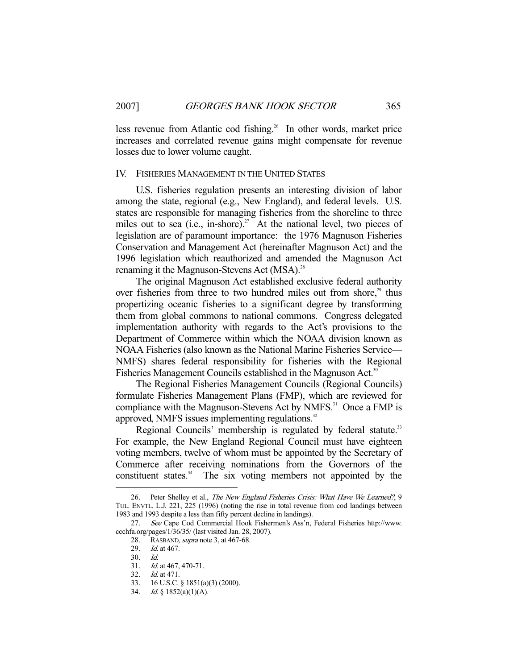less revenue from Atlantic cod fishing.<sup>26</sup> In other words, market price increases and correlated revenue gains might compensate for revenue losses due to lower volume caught.

### IV. FISHERIES MANAGEMENT IN THE UNITED STATES

 U.S. fisheries regulation presents an interesting division of labor among the state, regional (e.g., New England), and federal levels. U.S. states are responsible for managing fisheries from the shoreline to three miles out to sea (i.e., in-shore).<sup>27</sup> At the national level, two pieces of legislation are of paramount importance: the 1976 Magnuson Fisheries Conservation and Management Act (hereinafter Magnuson Act) and the 1996 legislation which reauthorized and amended the Magnuson Act renaming it the Magnuson-Stevens Act (MSA).<sup>28</sup>

 The original Magnuson Act established exclusive federal authority over fisheries from three to two hundred miles out from shore, $2<sup>29</sup>$  thus propertizing oceanic fisheries to a significant degree by transforming them from global commons to national commons. Congress delegated implementation authority with regards to the Act's provisions to the Department of Commerce within which the NOAA division known as NOAA Fisheries (also known as the National Marine Fisheries Service— NMFS) shares federal responsibility for fisheries with the Regional Fisheries Management Councils established in the Magnuson Act.<sup>30</sup>

 The Regional Fisheries Management Councils (Regional Councils) formulate Fisheries Management Plans (FMP), which are reviewed for compliance with the Magnuson-Stevens Act by NMFS.<sup>31</sup> Once a FMP is approved, NMFS issues implementing regulations.<sup>32</sup>

Regional Councils' membership is regulated by federal statute.<sup>33</sup> For example, the New England Regional Council must have eighteen voting members, twelve of whom must be appointed by the Secretary of Commerce after receiving nominations from the Governors of the constituent states. $34$  The six voting members not appointed by the

<sup>26.</sup> Peter Shelley et al., The New England Fisheries Crisis: What Have We Learned?, 9 TUL. ENVTL. L.J. 221, 225 (1996) (noting the rise in total revenue from cod landings between 1983 and 1993 despite a less than fifty percent decline in landings).

 <sup>27.</sup> See Cape Cod Commercial Hook Fishermen's Ass'n, Federal Fisheries http://www. ccchfa.org/pages/1/36/35/ (last visited Jan. 28, 2007).<br>28. RASBAND, *supra* note 3, at 467-68.

RASBAND, *supra* note 3, at 467-68.

 <sup>29.</sup> Id. at 467.

 <sup>30.</sup> Id.

Id. at 467, 470-71.

<sup>32.</sup> *Id.* at 471.<br>33. 16 U.S.C.

 <sup>33. 16</sup> U.S.C. § 1851(a)(3) (2000).

 <sup>34.</sup> Id. § 1852(a)(1)(A).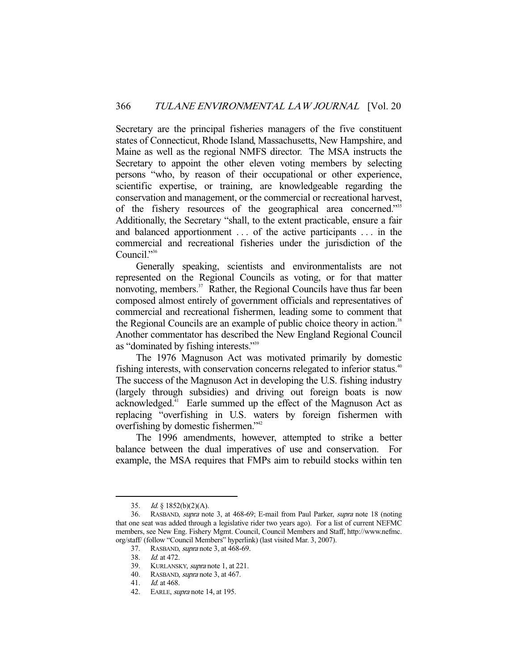Secretary are the principal fisheries managers of the five constituent states of Connecticut, Rhode Island, Massachusetts, New Hampshire, and Maine as well as the regional NMFS director. The MSA instructs the Secretary to appoint the other eleven voting members by selecting persons "who, by reason of their occupational or other experience, scientific expertise, or training, are knowledgeable regarding the conservation and management, or the commercial or recreational harvest, of the fishery resources of the geographical area concerned."35 Additionally, the Secretary "shall, to the extent practicable, ensure a fair and balanced apportionment . . . of the active participants . . . in the commercial and recreational fisheries under the jurisdiction of the Council."<sup>36</sup>

 Generally speaking, scientists and environmentalists are not represented on the Regional Councils as voting, or for that matter nonvoting, members.<sup>37</sup> Rather, the Regional Councils have thus far been composed almost entirely of government officials and representatives of commercial and recreational fishermen, leading some to comment that the Regional Councils are an example of public choice theory in action.<sup>38</sup> Another commentator has described the New England Regional Council as "dominated by fishing interests."39

 The 1976 Magnuson Act was motivated primarily by domestic fishing interests, with conservation concerns relegated to inferior status.<sup>40</sup> The success of the Magnuson Act in developing the U.S. fishing industry (largely through subsidies) and driving out foreign boats is now acknowledged.41 Earle summed up the effect of the Magnuson Act as replacing "overfishing in U.S. waters by foreign fishermen with overfishing by domestic fishermen."42

 The 1996 amendments, however, attempted to strike a better balance between the dual imperatives of use and conservation. For example, the MSA requires that FMPs aim to rebuild stocks within ten

<sup>35.</sup> *Id.*  $\&$  1852(b)(2)(A).

 <sup>36.</sup> RASBAND, supra note 3, at 468-69; E-mail from Paul Parker, supra note 18 (noting that one seat was added through a legislative rider two years ago). For a list of current NEFMC members, see New Eng. Fishery Mgmt. Council, Council Members and Staff, http://www.nefmc. org/staff/ (follow "Council Members" hyperlink) (last visited Mar. 3, 2007).

 <sup>37.</sup> RASBAND, supra note 3, at 468-69.

 <sup>38.</sup> Id. at 472.

<sup>39.</sup> KURLANSKY, *supra* note 1, at 221.

 <sup>40.</sup> RASBAND, supra note 3, at 467.

 <sup>41.</sup> Id. at 468.

 <sup>42.</sup> EARLE, supra note 14, at 195.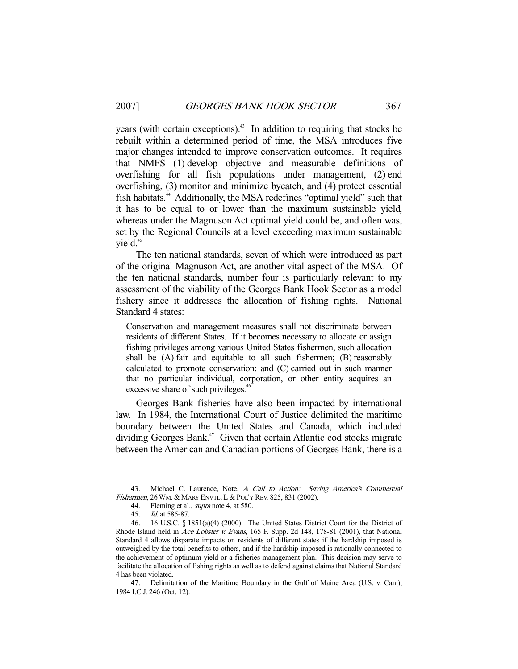years (with certain exceptions).<sup>43</sup> In addition to requiring that stocks be rebuilt within a determined period of time, the MSA introduces five major changes intended to improve conservation outcomes. It requires that NMFS (1) develop objective and measurable definitions of overfishing for all fish populations under management, (2) end overfishing, (3) monitor and minimize bycatch, and (4) protect essential fish habitats.44 Additionally, the MSA redefines "optimal yield" such that it has to be equal to or lower than the maximum sustainable yield, whereas under the Magnuson Act optimal yield could be, and often was, set by the Regional Councils at a level exceeding maximum sustainable vield.<sup>45</sup>

 The ten national standards, seven of which were introduced as part of the original Magnuson Act, are another vital aspect of the MSA. Of the ten national standards, number four is particularly relevant to my assessment of the viability of the Georges Bank Hook Sector as a model fishery since it addresses the allocation of fishing rights. National Standard 4 states:

Conservation and management measures shall not discriminate between residents of different States. If it becomes necessary to allocate or assign fishing privileges among various United States fishermen, such allocation shall be (A) fair and equitable to all such fishermen; (B) reasonably calculated to promote conservation; and (C) carried out in such manner that no particular individual, corporation, or other entity acquires an excessive share of such privileges.<sup>46</sup>

 Georges Bank fisheries have also been impacted by international law. In 1984, the International Court of Justice delimited the maritime boundary between the United States and Canada, which included dividing Georges Bank.<sup>47</sup> Given that certain Atlantic cod stocks migrate between the American and Canadian portions of Georges Bank, there is a

<sup>43.</sup> Michael C. Laurence, Note, A Call to Action: Saving America's Commercial Fishermen, 26WM. & MARY ENVTL. L & POL'Y REV. 825, 831 (2002).

<sup>44.</sup> Fleming et al., *supra* note 4, at 580.

 <sup>45.</sup> Id. at 585-87.

 <sup>46. 16</sup> U.S.C. § 1851(a)(4) (2000). The United States District Court for the District of Rhode Island held in Ace Lobster v. Evans, 165 F. Supp. 2d 148, 178-81 (2001), that National Standard 4 allows disparate impacts on residents of different states if the hardship imposed is outweighed by the total benefits to others, and if the hardship imposed is rationally connected to the achievement of optimum yield or a fisheries management plan. This decision may serve to facilitate the allocation of fishing rights as well as to defend against claims that National Standard 4 has been violated.

 <sup>47.</sup> Delimitation of the Maritime Boundary in the Gulf of Maine Area (U.S. v. Can.), 1984 I.C.J. 246 (Oct. 12).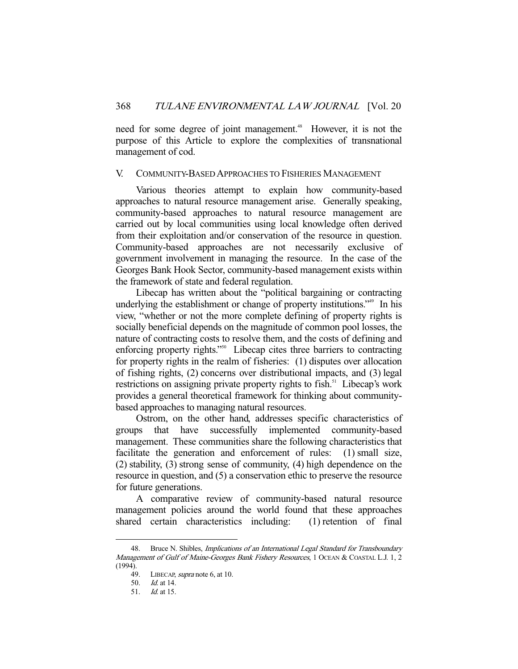need for some degree of joint management.<sup>48</sup> However, it is not the purpose of this Article to explore the complexities of transnational management of cod.

#### V. COMMUNITY-BASED APPROACHES TO FISHERIES MANAGEMENT

 Various theories attempt to explain how community-based approaches to natural resource management arise. Generally speaking, community-based approaches to natural resource management are carried out by local communities using local knowledge often derived from their exploitation and/or conservation of the resource in question. Community-based approaches are not necessarily exclusive of government involvement in managing the resource. In the case of the Georges Bank Hook Sector, community-based management exists within the framework of state and federal regulation.

 Libecap has written about the "political bargaining or contracting underlying the establishment or change of property institutions.<sup>749</sup> In his view, "whether or not the more complete defining of property rights is socially beneficial depends on the magnitude of common pool losses, the nature of contracting costs to resolve them, and the costs of defining and enforcing property rights."<sup>50</sup> Libecap cites three barriers to contracting for property rights in the realm of fisheries: (1) disputes over allocation of fishing rights, (2) concerns over distributional impacts, and (3) legal restrictions on assigning private property rights to fish.<sup>51</sup> Libecap's work provides a general theoretical framework for thinking about communitybased approaches to managing natural resources.

 Ostrom, on the other hand, addresses specific characteristics of groups that have successfully implemented community-based management. These communities share the following characteristics that facilitate the generation and enforcement of rules: (1) small size, (2) stability, (3) strong sense of community, (4) high dependence on the resource in question, and (5) a conservation ethic to preserve the resource for future generations.

 A comparative review of community-based natural resource management policies around the world found that these approaches shared certain characteristics including: (1) retention of final

<sup>48.</sup> Bruce N. Shibles, *Implications of an International Legal Standard for Transboundary* Management of Gulf of Maine-Georges Bank Fishery Resources, 1 OCEAN & COASTAL L.J. 1, 2 (1994).

 <sup>49.</sup> LIBECAP, supra note 6, at 10.

 <sup>50.</sup> Id. at 14.

 <sup>51.</sup> Id. at 15.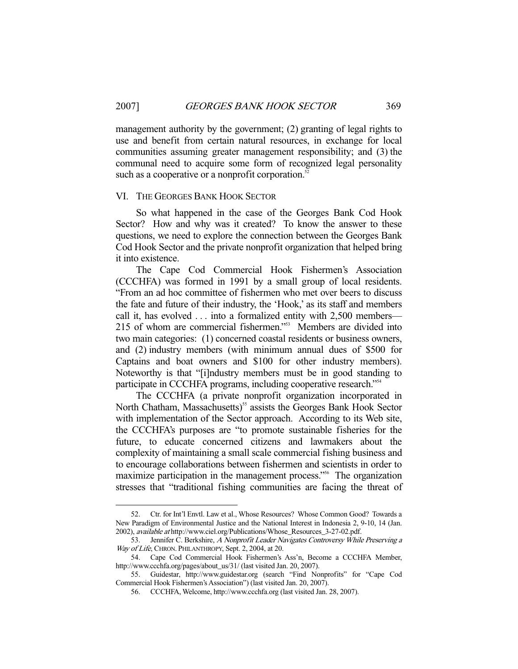management authority by the government; (2) granting of legal rights to use and benefit from certain natural resources, in exchange for local communities assuming greater management responsibility; and (3) the communal need to acquire some form of recognized legal personality such as a cooperative or a nonprofit corporation.<sup>52</sup>

#### VI. THE GEORGES BANK HOOK SECTOR

-

 So what happened in the case of the Georges Bank Cod Hook Sector? How and why was it created? To know the answer to these questions, we need to explore the connection between the Georges Bank Cod Hook Sector and the private nonprofit organization that helped bring it into existence.

 The Cape Cod Commercial Hook Fishermen's Association (CCCHFA) was formed in 1991 by a small group of local residents. "From an ad hoc committee of fishermen who met over beers to discuss the fate and future of their industry, the 'Hook,' as its staff and members call it, has evolved . . . into a formalized entity with 2,500 members— 215 of whom are commercial fishermen."<sup>553</sup> Members are divided into two main categories: (1) concerned coastal residents or business owners, and (2) industry members (with minimum annual dues of \$500 for Captains and boat owners and \$100 for other industry members). Noteworthy is that "[i]ndustry members must be in good standing to participate in CCCHFA programs, including cooperative research."54

 The CCCHFA (a private nonprofit organization incorporated in North Chatham, Massachusetts)<sup>55</sup> assists the Georges Bank Hook Sector with implementation of the Sector approach. According to its Web site, the CCCHFA's purposes are "to promote sustainable fisheries for the future, to educate concerned citizens and lawmakers about the complexity of maintaining a small scale commercial fishing business and to encourage collaborations between fishermen and scientists in order to maximize participation in the management process."<sup>56</sup> The organization stresses that "traditional fishing communities are facing the threat of

 <sup>52.</sup> Ctr. for Int'l Envtl. Law et al., Whose Resources? Whose Common Good? Towards a New Paradigm of Environmental Justice and the National Interest in Indonesia 2, 9-10, 14 (Jan. 2002), available at http://www.ciel.org/Publications/Whose\_Resources\_3-27-02.pdf.

<sup>53.</sup> Jennifer C. Berkshire, A Nonprofit Leader Navigates Controversy While Preserving a Way of Life, CHRON. PHILANTHROPY, Sept. 2, 2004, at 20.

 <sup>54.</sup> Cape Cod Commercial Hook Fishermen's Ass'n, Become a CCCHFA Member, http://www.ccchfa.org/pages/about\_us/31/ (last visited Jan. 20, 2007).

 <sup>55.</sup> Guidestar, http://www.guidestar.org (search "Find Nonprofits" for "Cape Cod Commercial Hook Fishermen's Association") (last visited Jan. 20, 2007).

 <sup>56.</sup> CCCHFA, Welcome, http://www.ccchfa.org (last visited Jan. 28, 2007).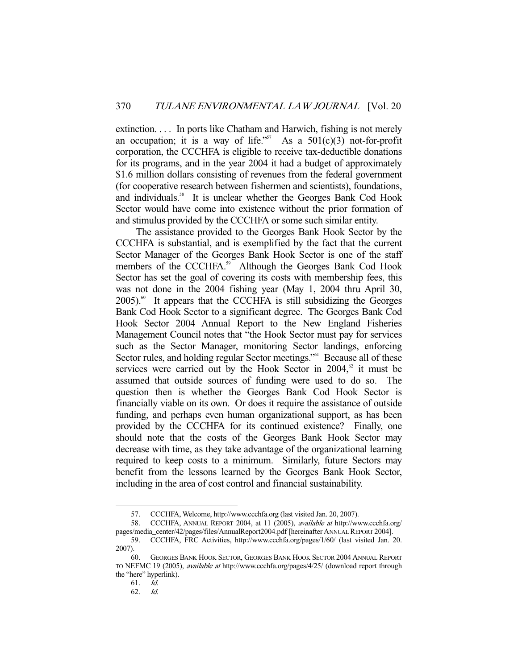extinction. . . . In ports like Chatham and Harwich, fishing is not merely an occupation; it is a way of life."<sup>57</sup> As a  $501(c)(3)$  not-for-profit corporation, the CCCHFA is eligible to receive tax-deductible donations for its programs, and in the year 2004 it had a budget of approximately \$1.6 million dollars consisting of revenues from the federal government (for cooperative research between fishermen and scientists), foundations, and individuals.<sup>58</sup> It is unclear whether the Georges Bank Cod Hook Sector would have come into existence without the prior formation of and stimulus provided by the CCCHFA or some such similar entity.

 The assistance provided to the Georges Bank Hook Sector by the CCCHFA is substantial, and is exemplified by the fact that the current Sector Manager of the Georges Bank Hook Sector is one of the staff members of the CCCHFA.<sup>59</sup> Although the Georges Bank Cod Hook Sector has set the goal of covering its costs with membership fees, this was not done in the 2004 fishing year (May 1, 2004 thru April 30,  $2005$ .<sup>60</sup> It appears that the CCCHFA is still subsidizing the Georges Bank Cod Hook Sector to a significant degree. The Georges Bank Cod Hook Sector 2004 Annual Report to the New England Fisheries Management Council notes that "the Hook Sector must pay for services such as the Sector Manager, monitoring Sector landings, enforcing Sector rules, and holding regular Sector meetings."<sup>61</sup> Because all of these services were carried out by the Hook Sector in  $2004$ <sup>62</sup>, it must be assumed that outside sources of funding were used to do so. The question then is whether the Georges Bank Cod Hook Sector is financially viable on its own. Or does it require the assistance of outside funding, and perhaps even human organizational support, as has been provided by the CCCHFA for its continued existence? Finally, one should note that the costs of the Georges Bank Hook Sector may decrease with time, as they take advantage of the organizational learning required to keep costs to a minimum. Similarly, future Sectors may benefit from the lessons learned by the Georges Bank Hook Sector, including in the area of cost control and financial sustainability.

 <sup>57.</sup> CCCHFA, Welcome, http://www.ccchfa.org (last visited Jan. 20, 2007).

 <sup>58.</sup> CCCHFA, ANNUAL REPORT 2004, at 11 (2005), available at http://www.ccchfa.org/ pages/media\_center/42/pages/files/AnnualReport2004.pdf [hereinafter ANNUAL REPORT 2004].

 <sup>59.</sup> CCCHFA, FRC Activities, http://www.ccchfa.org/pages/1/60/ (last visited Jan. 20. 2007).

 <sup>60.</sup> GEORGES BANK HOOK SECTOR, GEORGES BANK HOOK SECTOR 2004 ANNUAL REPORT TO NEFMC 19 (2005), available at http://www.ccchfa.org/pages/4/25/ (download report through the "here" hyperlink).

 <sup>61.</sup> Id.

 <sup>62.</sup> Id.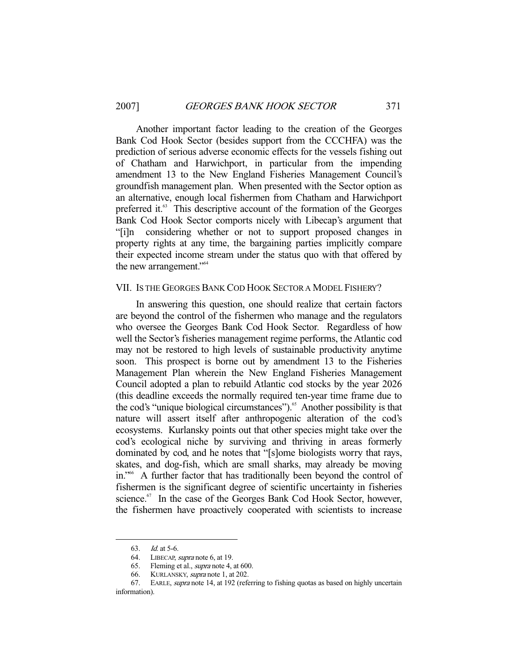Another important factor leading to the creation of the Georges Bank Cod Hook Sector (besides support from the CCCHFA) was the prediction of serious adverse economic effects for the vessels fishing out of Chatham and Harwichport, in particular from the impending amendment 13 to the New England Fisheries Management Council's groundfish management plan. When presented with the Sector option as an alternative, enough local fishermen from Chatham and Harwichport preferred it.<sup>63</sup> This descriptive account of the formation of the Georges Bank Cod Hook Sector comports nicely with Libecap's argument that "[i]n considering whether or not to support proposed changes in property rights at any time, the bargaining parties implicitly compare their expected income stream under the status quo with that offered by the new arrangement."<sup>64</sup>

## VII. IS THE GEORGES BANK COD HOOK SECTOR A MODEL FISHERY?

 In answering this question, one should realize that certain factors are beyond the control of the fishermen who manage and the regulators who oversee the Georges Bank Cod Hook Sector. Regardless of how well the Sector's fisheries management regime performs, the Atlantic cod may not be restored to high levels of sustainable productivity anytime soon. This prospect is borne out by amendment 13 to the Fisheries Management Plan wherein the New England Fisheries Management Council adopted a plan to rebuild Atlantic cod stocks by the year 2026 (this deadline exceeds the normally required ten-year time frame due to the cod's "unique biological circumstances").<sup>65</sup> Another possibility is that nature will assert itself after anthropogenic alteration of the cod's ecosystems. Kurlansky points out that other species might take over the cod's ecological niche by surviving and thriving in areas formerly dominated by cod, and he notes that "[s]ome biologists worry that rays, skates, and dog-fish, which are small sharks, may already be moving in."66 A further factor that has traditionally been beyond the control of fishermen is the significant degree of scientific uncertainty in fisheries science.<sup>67</sup> In the case of the Georges Bank Cod Hook Sector, however, the fishermen have proactively cooperated with scientists to increase

<sup>63.</sup> *Id.* at 5-6.<br>64. LIBECAP, *65*. Fleming e LIBECAP, *supra* note 6, at 19.

Fleming et al., *supra* note 4, at 600.

<sup>66.</sup> KURLANSKY, *supra* note 1, at 202.

 <sup>67.</sup> EARLE, supra note 14, at 192 (referring to fishing quotas as based on highly uncertain information).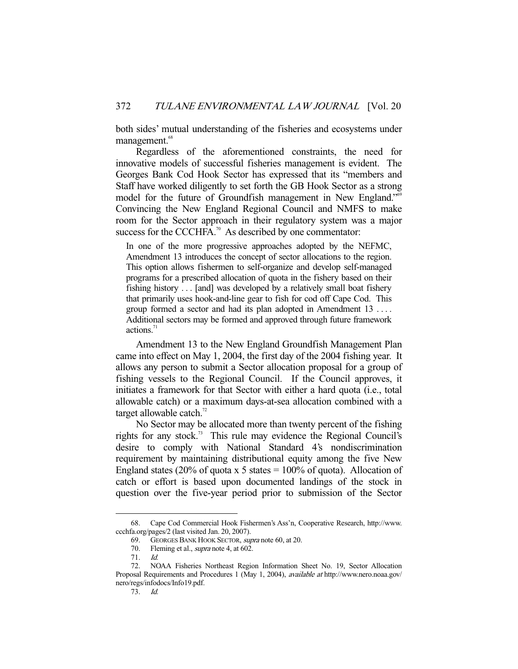both sides' mutual understanding of the fisheries and ecosystems under management.<sup>68</sup>

 Regardless of the aforementioned constraints, the need for innovative models of successful fisheries management is evident. The Georges Bank Cod Hook Sector has expressed that its "members and Staff have worked diligently to set forth the GB Hook Sector as a strong model for the future of Groundfish management in New England."<sup>69</sup> Convincing the New England Regional Council and NMFS to make room for the Sector approach in their regulatory system was a major success for the CCCHFA.<sup>70</sup> As described by one commentator:

In one of the more progressive approaches adopted by the NEFMC, Amendment 13 introduces the concept of sector allocations to the region. This option allows fishermen to self-organize and develop self-managed programs for a prescribed allocation of quota in the fishery based on their fishing history . . . [and] was developed by a relatively small boat fishery that primarily uses hook-and-line gear to fish for cod off Cape Cod. This group formed a sector and had its plan adopted in Amendment 13 . . . . Additional sectors may be formed and approved through future framework actions.<sup>71</sup>

 Amendment 13 to the New England Groundfish Management Plan came into effect on May 1, 2004, the first day of the 2004 fishing year. It allows any person to submit a Sector allocation proposal for a group of fishing vessels to the Regional Council. If the Council approves, it initiates a framework for that Sector with either a hard quota (i.e., total allowable catch) or a maximum days-at-sea allocation combined with a target allowable catch. $72$ 

 No Sector may be allocated more than twenty percent of the fishing rights for any stock.73 This rule may evidence the Regional Council's desire to comply with National Standard 4's nondiscrimination requirement by maintaining distributional equity among the five New England states (20% of quota x 5 states =  $100\%$  of quota). Allocation of catch or effort is based upon documented landings of the stock in question over the five-year period prior to submission of the Sector

 <sup>68.</sup> Cape Cod Commercial Hook Fishermen's Ass'n, Cooperative Research, http://www. ccchfa.org/pages/2 (last visited Jan. 20, 2007).<br>69. GEORGES BANK HOOK SECTOR,  $\frac{1}{2}$ 

GEORGES BANK HOOK SECTOR, supra note 60, at 20.

<sup>70.</sup> Fleming et al., *supra* note 4, at 602.

 <sup>71.</sup> Id.

 <sup>72.</sup> NOAA Fisheries Northeast Region Information Sheet No. 19, Sector Allocation Proposal Requirements and Procedures 1 (May 1, 2004), available at http://www.nero.noaa.gov/ nero/regs/infodocs/Info19.pdf.

 <sup>73.</sup> Id.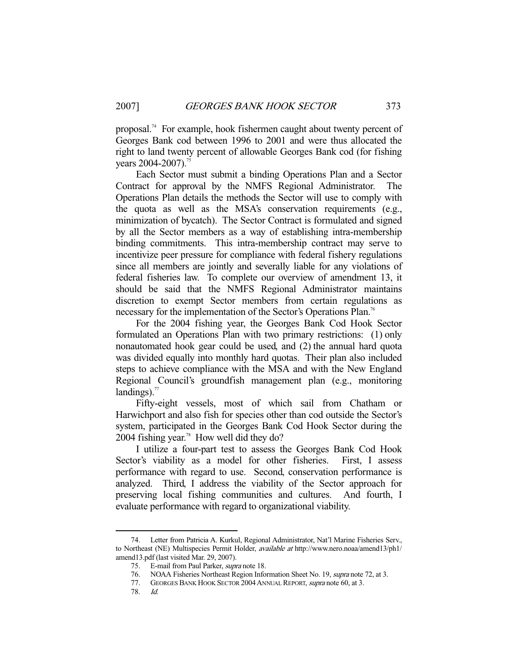proposal.<sup>74</sup> For example, hook fishermen caught about twenty percent of Georges Bank cod between 1996 to 2001 and were thus allocated the right to land twenty percent of allowable Georges Bank cod (for fishing years 2004-2007).<sup>75</sup>

 Each Sector must submit a binding Operations Plan and a Sector Contract for approval by the NMFS Regional Administrator. The Operations Plan details the methods the Sector will use to comply with the quota as well as the MSA's conservation requirements (e.g., minimization of bycatch). The Sector Contract is formulated and signed by all the Sector members as a way of establishing intra-membership binding commitments. This intra-membership contract may serve to incentivize peer pressure for compliance with federal fishery regulations since all members are jointly and severally liable for any violations of federal fisheries law. To complete our overview of amendment 13, it should be said that the NMFS Regional Administrator maintains discretion to exempt Sector members from certain regulations as necessary for the implementation of the Sector's Operations Plan.<sup>76</sup>

 For the 2004 fishing year, the Georges Bank Cod Hook Sector formulated an Operations Plan with two primary restrictions: (1) only nonautomated hook gear could be used, and (2) the annual hard quota was divided equally into monthly hard quotas. Their plan also included steps to achieve compliance with the MSA and with the New England Regional Council's groundfish management plan (e.g., monitoring landings). $77$ 

 Fifty-eight vessels, most of which sail from Chatham or Harwichport and also fish for species other than cod outside the Sector's system, participated in the Georges Bank Cod Hook Sector during the 2004 fishing year.<sup>78</sup> How well did they do?

 I utilize a four-part test to assess the Georges Bank Cod Hook Sector's viability as a model for other fisheries. First, I assess performance with regard to use. Second, conservation performance is analyzed. Third, I address the viability of the Sector approach for preserving local fishing communities and cultures. And fourth, I evaluate performance with regard to organizational viability.

 <sup>74.</sup> Letter from Patricia A. Kurkul, Regional Administrator, Nat'l Marine Fisheries Serv., to Northeast (NE) Multispecies Permit Holder, *available at* http://www.nero.noaa/amend13/ph1/ amend13.pdf (last visited Mar. 29, 2007).

<sup>75.</sup> E-mail from Paul Parker, *supra* note 18.

<sup>76.</sup> NOAA Fisheries Northeast Region Information Sheet No. 19, supra note 72, at 3.

<sup>77.</sup> GEORGES BANK HOOK SECTOR 2004 ANNUAL REPORT, supra note 60, at 3.

 <sup>78.</sup> Id.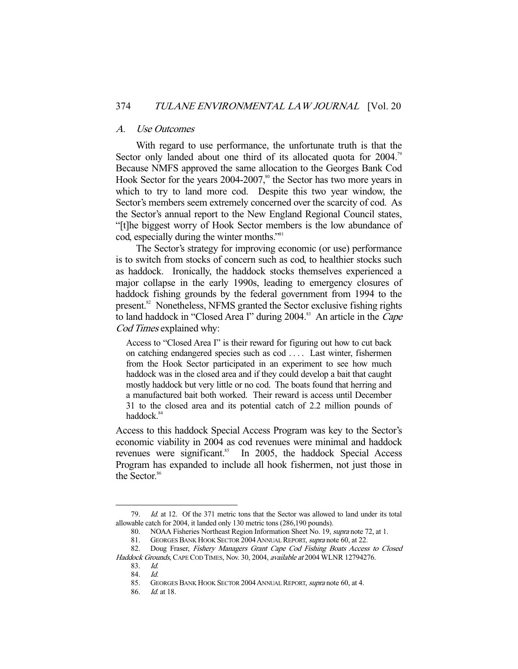## A. Use Outcomes

 With regard to use performance, the unfortunate truth is that the Sector only landed about one third of its allocated quota for 2004.<sup>79</sup> Because NMFS approved the same allocation to the Georges Bank Cod Hook Sector for the years  $2004-2007$ ,<sup>80</sup> the Sector has two more years in which to try to land more cod. Despite this two year window, the Sector's members seem extremely concerned over the scarcity of cod. As the Sector's annual report to the New England Regional Council states, "[t]he biggest worry of Hook Sector members is the low abundance of cod, especially during the winter months."<sup>81</sup>

 The Sector's strategy for improving economic (or use) performance is to switch from stocks of concern such as cod, to healthier stocks such as haddock. Ironically, the haddock stocks themselves experienced a major collapse in the early 1990s, leading to emergency closures of haddock fishing grounds by the federal government from 1994 to the present.<sup>82</sup> Nonetheless, NFMS granted the Sector exclusive fishing rights to land haddock in "Closed Area I" during  $2004$ .<sup>83</sup> An article in the *Cape* Cod Times explained why:

Access to "Closed Area I" is their reward for figuring out how to cut back on catching endangered species such as cod . . . . Last winter, fishermen from the Hook Sector participated in an experiment to see how much haddock was in the closed area and if they could develop a bait that caught mostly haddock but very little or no cod. The boats found that herring and a manufactured bait both worked. Their reward is access until December 31 to the closed area and its potential catch of 2.2 million pounds of haddock.<sup>84</sup>

Access to this haddock Special Access Program was key to the Sector's economic viability in 2004 as cod revenues were minimal and haddock revenues were significant.<sup>85</sup> In 2005, the haddock Special Access Program has expanded to include all hook fishermen, not just those in the Sector.<sup>86</sup>

 <sup>79.</sup> Id. at 12. Of the 371 metric tons that the Sector was allowed to land under its total allowable catch for 2004, it landed only 130 metric tons (286,190 pounds).

 <sup>80.</sup> NOAA Fisheries Northeast Region Information Sheet No. 19, supra note 72, at 1.

<sup>81.</sup> GEORGES BANK HOOK SECTOR 2004 ANNUAL REPORT, *supra* note 60, at 22.

 <sup>82.</sup> Doug Fraser, Fishery Managers Grant Cape Cod Fishing Boats Access to Closed Haddock Grounds, CAPE COD TIMES, Nov. 30, 2004, available at 2004 WLNR 12794276.

 <sup>83.</sup> Id. 84. Id.

<sup>85.</sup> GEORGES BANK HOOK SECTOR 2004 ANNUAL REPORT, *supra* note 60, at 4.

<sup>86.</sup> *Id.* at 18.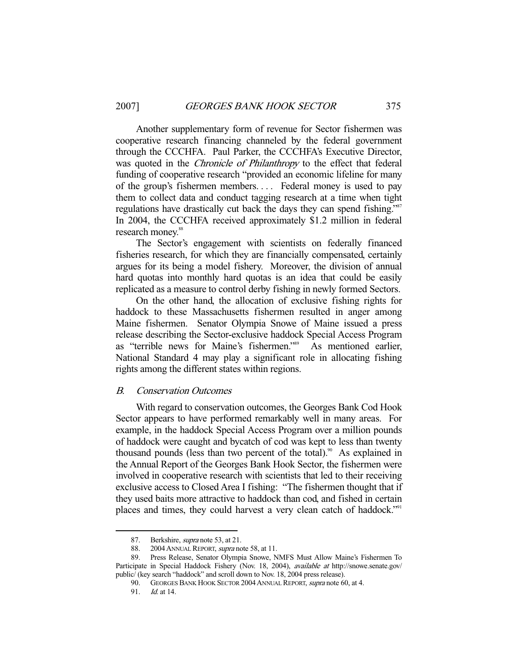Another supplementary form of revenue for Sector fishermen was cooperative research financing channeled by the federal government through the CCCHFA. Paul Parker, the CCCHFA's Executive Director, was quoted in the *Chronicle of Philanthropy* to the effect that federal funding of cooperative research "provided an economic lifeline for many of the group's fishermen members. . . . Federal money is used to pay them to collect data and conduct tagging research at a time when tight regulations have drastically cut back the days they can spend fishing."<sup>87</sup> In 2004, the CCCHFA received approximately \$1.2 million in federal research money.<sup>88</sup>

 The Sector's engagement with scientists on federally financed fisheries research, for which they are financially compensated, certainly argues for its being a model fishery. Moreover, the division of annual hard quotas into monthly hard quotas is an idea that could be easily replicated as a measure to control derby fishing in newly formed Sectors.

 On the other hand, the allocation of exclusive fishing rights for haddock to these Massachusetts fishermen resulted in anger among Maine fishermen. Senator Olympia Snowe of Maine issued a press release describing the Sector-exclusive haddock Special Access Program as "terrible news for Maine's fishermen."<sup>89</sup> As mentioned earlier, National Standard 4 may play a significant role in allocating fishing rights among the different states within regions.

## B. Conservation Outcomes

 With regard to conservation outcomes, the Georges Bank Cod Hook Sector appears to have performed remarkably well in many areas. For example, in the haddock Special Access Program over a million pounds of haddock were caught and bycatch of cod was kept to less than twenty thousand pounds (less than two percent of the total).<sup>90</sup> As explained in the Annual Report of the Georges Bank Hook Sector, the fishermen were involved in cooperative research with scientists that led to their receiving exclusive access to Closed Area I fishing: "The fishermen thought that if they used baits more attractive to haddock than cod, and fished in certain places and times, they could harvest a very clean catch of haddock."<sup>91</sup>

<sup>87.</sup> Berkshire, *supra* note 53, at 21.

<sup>88. 2004</sup> ANNUAL REPORT, *supra* note 58, at 11.

 <sup>89.</sup> Press Release, Senator Olympia Snowe, NMFS Must Allow Maine's Fishermen To Participate in Special Haddock Fishery (Nov. 18, 2004), *available at* http://snowe.senate.gov/ public/ (key search "haddock" and scroll down to Nov. 18, 2004 press release).

<sup>90.</sup> GEORGES BANK HOOK SECTOR 2004 ANNUAL REPORT, supra note 60, at 4.

 <sup>91.</sup> Id. at 14.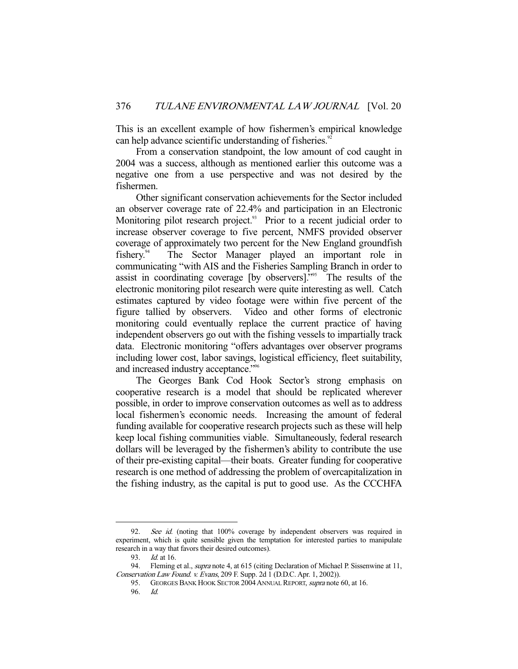This is an excellent example of how fishermen's empirical knowledge can help advance scientific understanding of fisheries.<sup>92</sup>

 From a conservation standpoint, the low amount of cod caught in 2004 was a success, although as mentioned earlier this outcome was a negative one from a use perspective and was not desired by the fishermen.

 Other significant conservation achievements for the Sector included an observer coverage rate of 22.4% and participation in an Electronic Monitoring pilot research project.<sup>93</sup> Prior to a recent judicial order to increase observer coverage to five percent, NMFS provided observer coverage of approximately two percent for the New England groundfish fishery.94 The Sector Manager played an important role in communicating "with AIS and the Fisheries Sampling Branch in order to assist in coordinating coverage [by observers]."95 The results of the electronic monitoring pilot research were quite interesting as well. Catch estimates captured by video footage were within five percent of the figure tallied by observers. Video and other forms of electronic monitoring could eventually replace the current practice of having independent observers go out with the fishing vessels to impartially track data. Electronic monitoring "offers advantages over observer programs including lower cost, labor savings, logistical efficiency, fleet suitability, and increased industry acceptance."<sup>96</sup>

 The Georges Bank Cod Hook Sector's strong emphasis on cooperative research is a model that should be replicated wherever possible, in order to improve conservation outcomes as well as to address local fishermen's economic needs. Increasing the amount of federal funding available for cooperative research projects such as these will help keep local fishing communities viable. Simultaneously, federal research dollars will be leveraged by the fishermen's ability to contribute the use of their pre-existing capital—their boats. Greater funding for cooperative research is one method of addressing the problem of overcapitalization in the fishing industry, as the capital is put to good use. As the CCCHFA

<sup>92.</sup> See id. (noting that 100% coverage by independent observers was required in experiment, which is quite sensible given the temptation for interested parties to manipulate research in a way that favors their desired outcomes).

<sup>93.</sup> *Id.* at 16.

<sup>94.</sup> Fleming et al., *supra* note 4, at 615 (citing Declaration of Michael P. Sissenwine at 11, Conservation Law Found. v. Evans, 209 F. Supp. 2d 1 (D.D.C. Apr. 1, 2002)).

<sup>95.</sup> GEORGES BANK HOOK SECTOR 2004 ANNUAL REPORT, supra note 60, at 16.

 <sup>96.</sup> Id.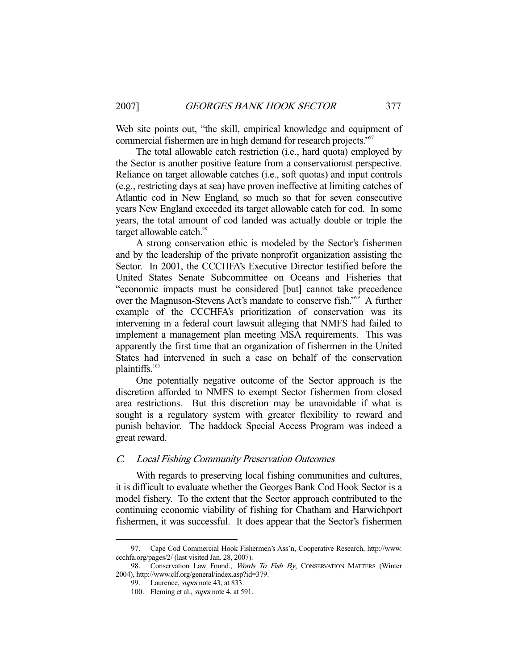Web site points out, "the skill, empirical knowledge and equipment of commercial fishermen are in high demand for research projects."<sup>97</sup>

 The total allowable catch restriction (i.e., hard quota) employed by the Sector is another positive feature from a conservationist perspective. Reliance on target allowable catches (i.e., soft quotas) and input controls (e.g., restricting days at sea) have proven ineffective at limiting catches of Atlantic cod in New England, so much so that for seven consecutive years New England exceeded its target allowable catch for cod. In some years, the total amount of cod landed was actually double or triple the target allowable catch.<sup>98</sup>

 A strong conservation ethic is modeled by the Sector's fishermen and by the leadership of the private nonprofit organization assisting the Sector. In 2001, the CCCHFA's Executive Director testified before the United States Senate Subcommittee on Oceans and Fisheries that "economic impacts must be considered [but] cannot take precedence over the Magnuson-Stevens Act's mandate to conserve fish."<sup>99</sup> A further example of the CCCHFA's prioritization of conservation was its intervening in a federal court lawsuit alleging that NMFS had failed to implement a management plan meeting MSA requirements. This was apparently the first time that an organization of fishermen in the United States had intervened in such a case on behalf of the conservation plaintiffs.<sup>100</sup>

 One potentially negative outcome of the Sector approach is the discretion afforded to NMFS to exempt Sector fishermen from closed area restrictions. But this discretion may be unavoidable if what is sought is a regulatory system with greater flexibility to reward and punish behavior. The haddock Special Access Program was indeed a great reward.

## C. Local Fishing Community Preservation Outcomes

 With regards to preserving local fishing communities and cultures, it is difficult to evaluate whether the Georges Bank Cod Hook Sector is a model fishery. To the extent that the Sector approach contributed to the continuing economic viability of fishing for Chatham and Harwichport fishermen, it was successful. It does appear that the Sector's fishermen

 <sup>97.</sup> Cape Cod Commercial Hook Fishermen's Ass'n, Cooperative Research, http://www. ccchfa.org/pages/2/ (last visited Jan. 28, 2007).

<sup>98.</sup> Conservation Law Found., Words To Fish By, CONSERVATION MATTERS (Winter 2004), http://www.clf.org/general/index.asp?id=379.

<sup>99.</sup> Laurence, *supra* note 43, at 833.

<sup>100.</sup> Fleming et al., *supra* note 4, at 591.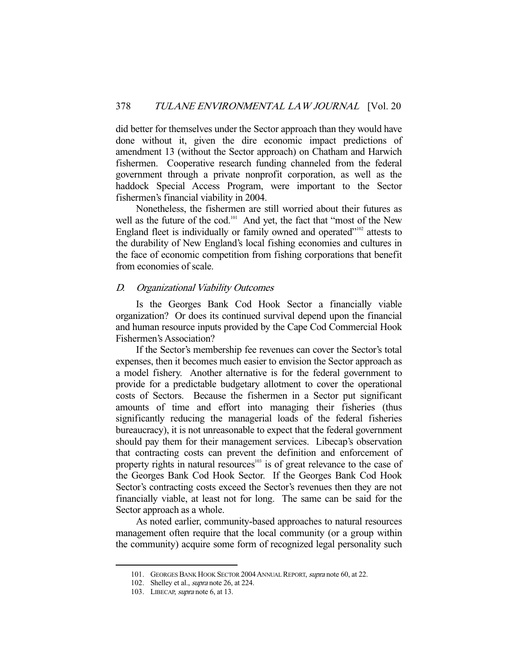did better for themselves under the Sector approach than they would have done without it, given the dire economic impact predictions of amendment 13 (without the Sector approach) on Chatham and Harwich fishermen. Cooperative research funding channeled from the federal government through a private nonprofit corporation, as well as the haddock Special Access Program, were important to the Sector fishermen's financial viability in 2004.

 Nonetheless, the fishermen are still worried about their futures as well as the future of the cod.<sup>101</sup> And yet, the fact that "most of the New England fleet is individually or family owned and operated $"102$  attests to the durability of New England's local fishing economies and cultures in the face of economic competition from fishing corporations that benefit from economies of scale.

## D. Organizational Viability Outcomes

 Is the Georges Bank Cod Hook Sector a financially viable organization? Or does its continued survival depend upon the financial and human resource inputs provided by the Cape Cod Commercial Hook Fishermen's Association?

 If the Sector's membership fee revenues can cover the Sector's total expenses, then it becomes much easier to envision the Sector approach as a model fishery. Another alternative is for the federal government to provide for a predictable budgetary allotment to cover the operational costs of Sectors. Because the fishermen in a Sector put significant amounts of time and effort into managing their fisheries (thus significantly reducing the managerial loads of the federal fisheries bureaucracy), it is not unreasonable to expect that the federal government should pay them for their management services. Libecap's observation that contracting costs can prevent the definition and enforcement of property rights in natural resources<sup>103</sup> is of great relevance to the case of the Georges Bank Cod Hook Sector. If the Georges Bank Cod Hook Sector's contracting costs exceed the Sector's revenues then they are not financially viable, at least not for long. The same can be said for the Sector approach as a whole.

 As noted earlier, community-based approaches to natural resources management often require that the local community (or a group within the community) acquire some form of recognized legal personality such

<sup>101.</sup> GEORGES BANK HOOK SECTOR 2004 ANNUAL REPORT, supra note 60, at 22.

<sup>102.</sup> Shelley et al., *supra* note 26, at 224.

<sup>103.</sup> LIBECAP, *supra* note 6, at 13.